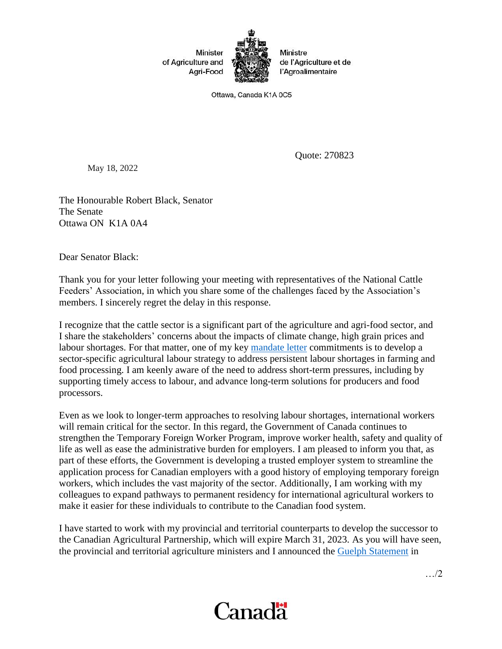

Ministre de l'Agriculture et de l'Agroalimentaire

Ottawa, Canada K1A 0C5

May 18, 2022

Quote: 270823

The Honourable Robert Black, Senator The Senate Ottawa ON K1A 0A4

Dear Senator Black:

Thank you for your letter following your meeting with representatives of the National Cattle Feeders' Association, in which you share some of the challenges faced by the Association's members. I sincerely regret the delay in this response.

I recognize that the cattle sector is a significant part of the agriculture and agri-food sector, and I share the stakeholders' concerns about the impacts of climate change, high grain prices and labour shortages. For that matter, one of my key [mandate](https://pm.gc.ca/en/mandate-letters/2021/12/16/minister-agriculture-and-agri-food-mandate-letter) letter commitments is to develop a sector-specific agricultural labour strategy to address persistent labour shortages in farming and food processing. I am keenly aware of the need to address short-term pressures, including by supporting timely access to labour, and advance long-term solutions for producers and food processors.

Even as we look to longer-term approaches to resolving labour shortages, international workers will remain critical for the sector. In this regard, the Government of Canada continues to strengthen the Temporary Foreign Worker Program, improve worker health, safety and quality of life as well as ease the administrative burden for employers. I am pleased to inform you that, as part of these efforts, the Government is developing a trusted employer system to streamline the application process for Canadian employers with a good history of employing temporary foreign workers, which includes the vast majority of the sector. Additionally, I am working with my colleagues to expand pathways to permanent residency for international agricultural workers to make it easier for these individuals to contribute to the Canadian food system.

I have started to work with my provincial and territorial counterparts to develop the successor to the Canadian Agricultural Partnership, which will expire March 31, 2023. As you will have seen, the provincial and territorial agriculture ministers and I announced the [Guelph Statement](https://agriculture.canada.ca/en/about-our-department/key-departmental-initiatives/meetings-federal-provincial-and-territorial-ministers-agriculture/guelph-statement) in



…/2